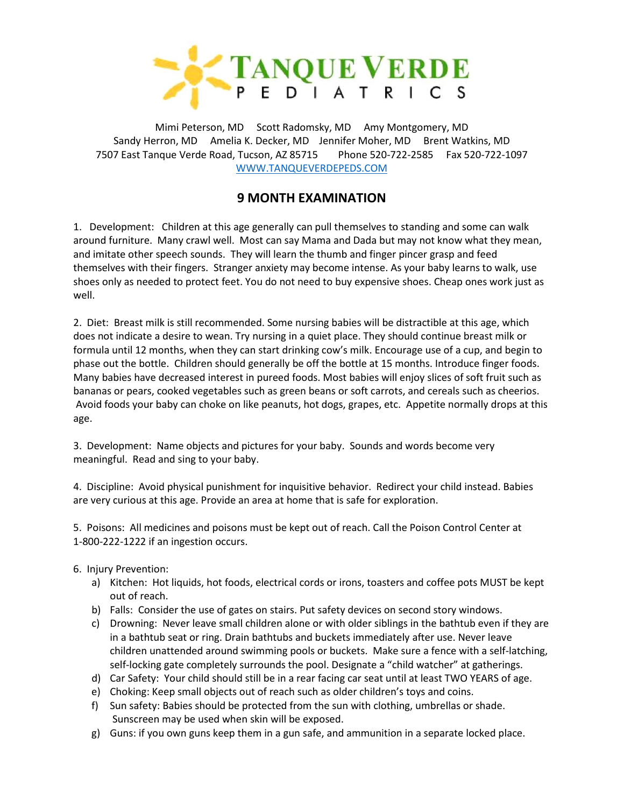

Mimi Peterson, MD Scott Radomsky, MD Amy Montgomery, MD Sandy Herron, MD Amelia K. Decker, MD Jennifer Moher, MD Brent Watkins, MD 7507 East Tanque Verde Road, Tucson, AZ 85715 Phone 520-722-2585 Fax 520-722-1097 [WWW.TANQUEVERDEPEDS.COM](http://www.tanqueverdepeds.com/)

## **9 MONTH EXAMINATION**

1. Development: Children at this age generally can pull themselves to standing and some can walk around furniture. Many crawl well. Most can say Mama and Dada but may not know what they mean, and imitate other speech sounds. They will learn the thumb and finger pincer grasp and feed themselves with their fingers. Stranger anxiety may become intense. As your baby learns to walk, use shoes only as needed to protect feet. You do not need to buy expensive shoes. Cheap ones work just as well.

2. Diet: Breast milk is still recommended. Some nursing babies will be distractible at this age, which does not indicate a desire to wean. Try nursing in a quiet place. They should continue breast milk or formula until 12 months, when they can start drinking cow's milk. Encourage use of a cup, and begin to phase out the bottle. Children should generally be off the bottle at 15 months. Introduce finger foods. Many babies have decreased interest in pureed foods. Most babies will enjoy slices of soft fruit such as bananas or pears, cooked vegetables such as green beans or soft carrots, and cereals such as cheerios. Avoid foods your baby can choke on like peanuts, hot dogs, grapes, etc. Appetite normally drops at this age.

3. Development: Name objects and pictures for your baby. Sounds and words become very meaningful. Read and sing to your baby.

4. Discipline: Avoid physical punishment for inquisitive behavior. Redirect your child instead. Babies are very curious at this age. Provide an area at home that is safe for exploration.

5. Poisons: All medicines and poisons must be kept out of reach. Call the Poison Control Center at 1-800-222-1222 if an ingestion occurs.

- 6. Injury Prevention:
	- a) Kitchen: Hot liquids, hot foods, electrical cords or irons, toasters and coffee pots MUST be kept out of reach.
	- b) Falls: Consider the use of gates on stairs. Put safety devices on second story windows.
	- c) Drowning: Never leave small children alone or with older siblings in the bathtub even if they are in a bathtub seat or ring. Drain bathtubs and buckets immediately after use. Never leave children unattended around swimming pools or buckets. Make sure a fence with a self-latching, self-locking gate completely surrounds the pool. Designate a "child watcher" at gatherings.
	- d) Car Safety: Your child should still be in a rear facing car seat until at least TWO YEARS of age.
	- e) Choking: Keep small objects out of reach such as older children's toys and coins.
	- f) Sun safety: Babies should be protected from the sun with clothing, umbrellas or shade. Sunscreen may be used when skin will be exposed.
	- g) Guns: if you own guns keep them in a gun safe, and ammunition in a separate locked place.